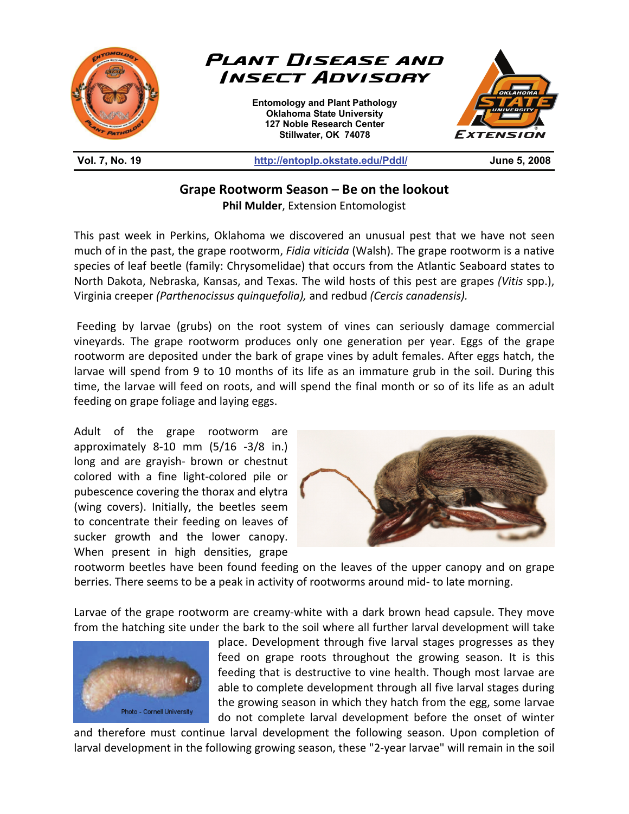

**Grape Rootworm Season – Be on the lookout Phil Mulder**, Extension Entomologist

This past week in Perkins, Oklahoma we discovered an unusual pest that we have not seen much of in the past, the grape rootworm, *Fidia viticida* (Walsh). The grape rootworm is a native species of leaf beetle (family: Chrysomelidae) that occurs from the Atlantic Seaboard states to North Dakota, Nebraska, Kansas, and Texas. The wild hosts of this pest are grapes *(Vitis* spp.), Virginia creeper *(Parthenocissus quinquefolia),* and redbud *(Cercis canadensis).* 

 Feeding by larvae (grubs) on the root system of vines can seriously damage commercial vineyards. The grape rootworm produces only one generation per year. Eggs of the grape rootworm are deposited under the bark of grape vines by adult females. After eggs hatch, the larvae will spend from 9 to 10 months of its life as an immature grub in the soil. During this time, the larvae will feed on roots, and will spend the final month or so of its life as an adult feeding on grape foliage and laying eggs.

Adult of the grape rootworm are approximately 8-10 mm (5/16 -3/8 in.) long and are grayish- brown or chestnut colored with a fine light-colored pile or pubescence covering the thorax and elytra (wing covers). Initially, the beetles seem to concentrate their feeding on leaves of sucker growth and the lower canopy. When present in high densities, grape



rootworm beetles have been found feeding on the leaves of the upper canopy and on grape berries. There seems to be a peak in activity of rootworms around mid- to late morning.

Larvae of the grape rootworm are creamy-white with a dark brown head capsule. They move from the hatching site under the bark to the soil where all further larval development will take



place. Development through five larval stages progresses as they feed on grape roots throughout the growing season. It is this feeding that is destructive to vine health. Though most larvae are able to complete development through all five larval stages during the growing season in which they hatch from the egg, some larvae do not complete larval development before the onset of winter

and therefore must continue larval development the following season. Upon completion of larval development in the following growing season, these "2-year larvae" will remain in the soil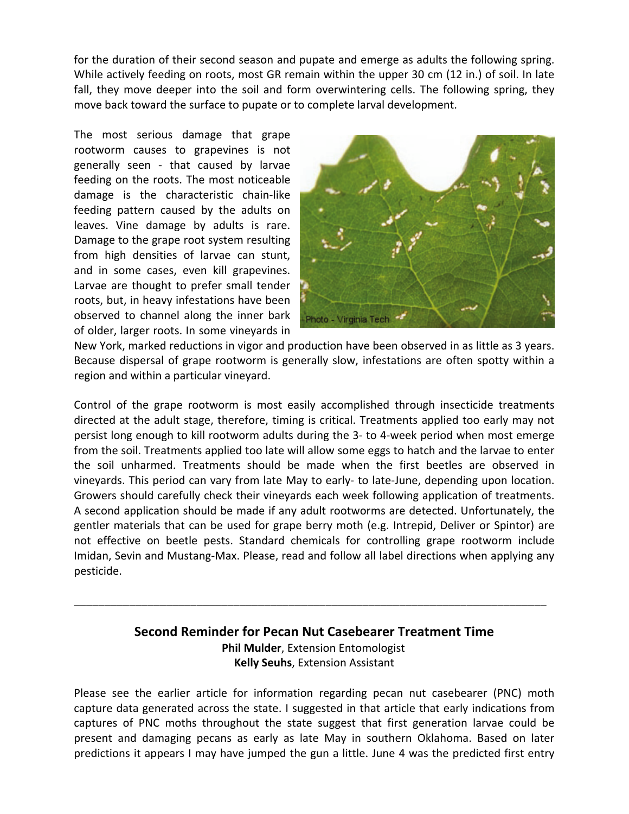for the duration of their second season and pupate and emerge as adults the following spring. While actively feeding on roots, most GR remain within the upper 30 cm (12 in.) of soil. In late fall, they move deeper into the soil and form overwintering cells. The following spring, they move back toward the surface to pupate or to complete larval development.

The most serious damage that grape rootworm causes to grapevines is not generally seen - that caused by larvae feeding on the roots. The most noticeable damage is the characteristic chain-like feeding pattern caused by the adults on leaves. Vine damage by adults is rare. Damage to the grape root system resulting from high densities of larvae can stunt, and in some cases, even kill grapevines. Larvae are thought to prefer small tender roots, but, in heavy infestations have been observed to channel along the inner bark of older, larger roots. In some vineyards in



New York, marked reductions in vigor and production have been observed in as little as 3 years. Because dispersal of grape rootworm is generally slow, infestations are often spotty within a region and within a particular vineyard.

Control of the grape rootworm is most easily accomplished through insecticide treatments directed at the adult stage, therefore, timing is critical. Treatments applied too early may not persist long enough to kill rootworm adults during the 3- to 4-week period when most emerge from the soil. Treatments applied too late will allow some eggs to hatch and the larvae to enter the soil unharmed. Treatments should be made when the first beetles are observed in vineyards. This period can vary from late May to early- to late-June, depending upon location. Growers should carefully check their vineyards each week following application of treatments. A second application should be made if any adult rootworms are detected. Unfortunately, the gentler materials that can be used for grape berry moth (e.g. Intrepid, Deliver or Spintor) are not effective on beetle pests. Standard chemicals for controlling grape rootworm include Imidan, Sevin and Mustang-Max. Please, read and follow all label directions when applying any pesticide.

## **Second Reminder for Pecan Nut Casebearer Treatment Time Phil Mulder**, Extension Entomologist **Kelly Seuhs**, Extension Assistant

\_\_\_\_\_\_\_\_\_\_\_\_\_\_\_\_\_\_\_\_\_\_\_\_\_\_\_\_\_\_\_\_\_\_\_\_\_\_\_\_\_\_\_\_\_\_\_\_\_\_\_\_\_\_\_\_\_\_\_\_\_\_\_\_\_\_\_\_\_\_\_\_\_\_\_\_\_

Please see the earlier article for information regarding pecan nut casebearer (PNC) moth capture data generated across the state. I suggested in that article that early indications from captures of PNC moths throughout the state suggest that first generation larvae could be present and damaging pecans as early as late May in southern Oklahoma. Based on later predictions it appears I may have jumped the gun a little. June 4 was the predicted first entry